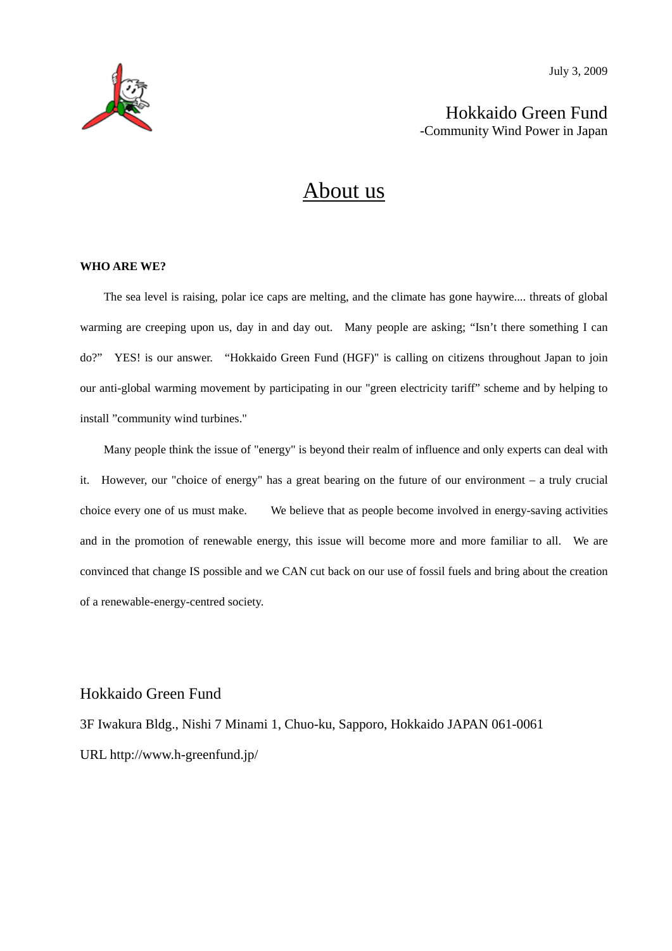



Hokkaido Green Fund -Community Wind Power in Japan

# About us

#### **WHO ARE WE?**

The sea level is raising, polar ice caps are melting, and the climate has gone haywire.... threats of global warming are creeping upon us, day in and day out. Many people are asking; "Isn't there something I can do?" YES! is our answer. "Hokkaido Green Fund (HGF)" is calling on citizens throughout Japan to join our anti-global warming movement by participating in our "green electricity tariff" scheme and by helping to install "community wind turbines."

Many people think the issue of "energy" is beyond their realm of influence and only experts can deal with it. However, our "choice of energy" has a great bearing on the future of our environment – a truly crucial choice every one of us must make. We believe that as people become involved in energy-saving activities and in the promotion of renewable energy, this issue will become more and more familiar to all. We are convinced that change IS possible and we CAN cut back on our use of fossil fuels and bring about the creation of a renewable-energy-centred society.

#### Hokkaido Green Fund

3F Iwakura Bldg., Nishi 7 Minami 1, Chuo-ku, Sapporo, Hokkaido JAPAN 061-0061 URL http://www.h-greenfund.jp/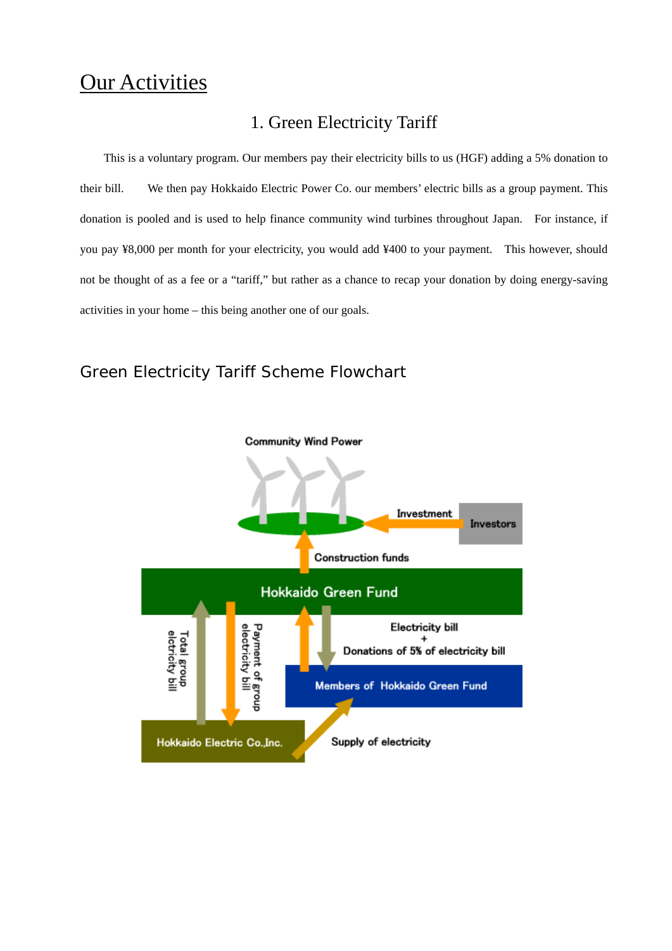# **Our Activities**

# 1. Green Electricity Tariff

This is a voluntary program. Our members pay their electricity bills to us (HGF) adding a 5% donation to their bill. We then pay Hokkaido Electric Power Co. our members' electric bills as a group payment. This donation is pooled and is used to help finance community wind turbines throughout Japan. For instance, if you pay ¥8,000 per month for your electricity, you would add ¥400 to your payment. This however, should not be thought of as a fee or a "tariff," but rather as a chance to recap your donation by doing energy-saving activities in your home – this being another one of our goals.

# Green Electricity Tariff Scheme Flowchart

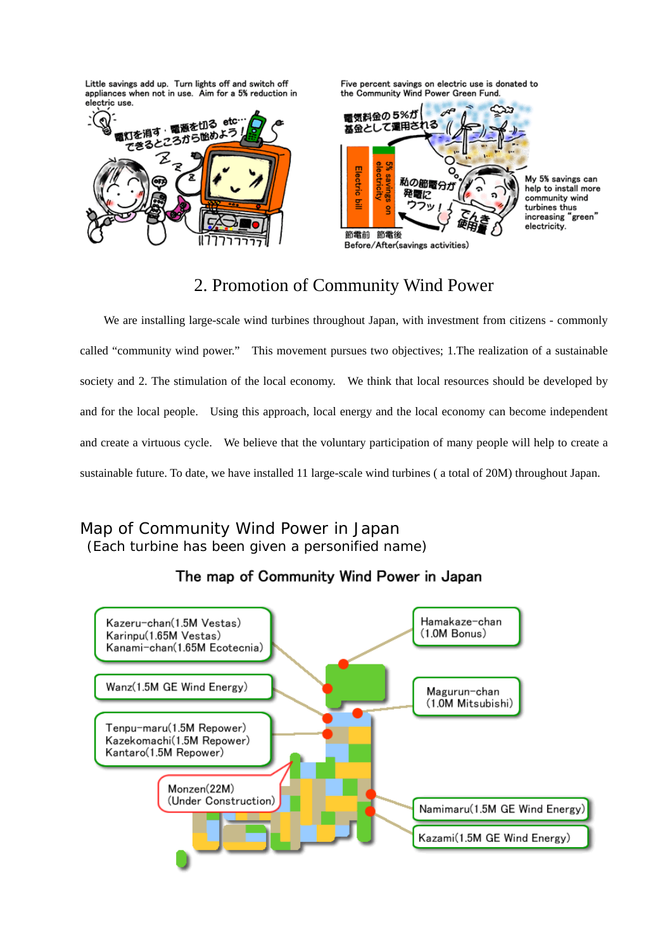Little savings add up. Turn lights off and switch off appliances when not in use. Aim for a 5% reduction in electric use.



Five percent savings on electric use is donated to the Community Wind Power Green Fund.



My 5% savings can help to install more community wind turbines thus increasing "green" electricity.

# 2. Promotion of Community Wind Power

We are installing large-scale wind turbines throughout Japan, with investment from citizens - commonly called "community wind power." This movement pursues two objectives; 1.The realization of a sustainable society and 2. The stimulation of the local economy. We think that local resources should be developed by and for the local people. Using this approach, local energy and the local economy can become independent and create a virtuous cycle. We believe that the voluntary participation of many people will help to create a sustainable future. To date, we have installed 11 large-scale wind turbines ( a total of 20M) throughout Japan.

## Map of Community Wind Power in Japan (Each turbine has been given a personified name)

### The map of Community Wind Power in Japan